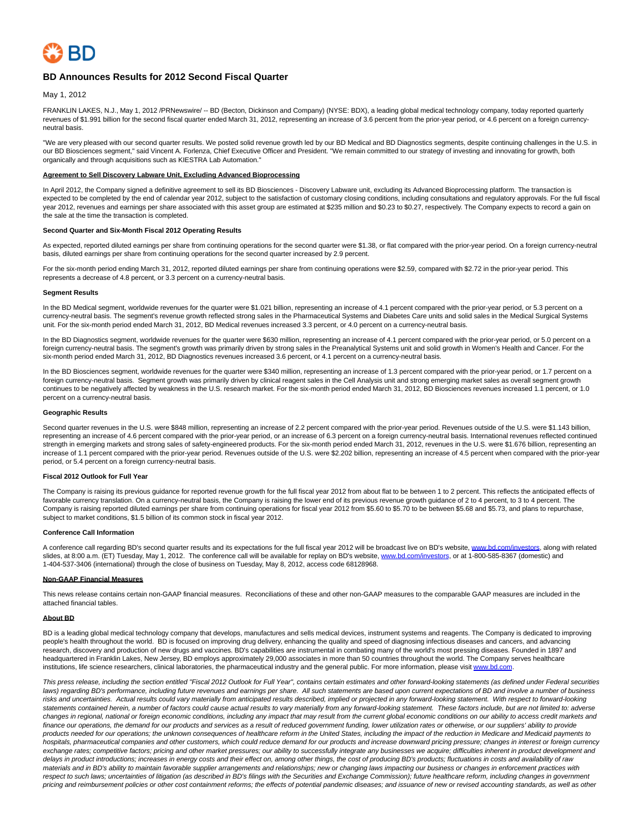

## **BD Announces Results for 2012 Second Fiscal Quarter**

May 1, 2012

FRANKLIN LAKES, N.J., May 1, 2012 /PRNewswire/ -- BD (Becton, Dickinson and Company) (NYSE: BDX), a leading global medical technology company, today reported quarterly revenues of \$1.991 billion for the second fiscal quarter ended March 31, 2012, representing an increase of 3.6 percent from the prior-year period, or 4.6 percent on a foreign currencyneutral basis.

"We are very pleased with our second quarter results. We posted solid revenue growth led by our BD Medical and BD Diagnostics segments, despite continuing challenges in the U.S. in our BD Biosciences segment," said Vincent A. Forlenza, Chief Executive Officer and President. "We remain committed to our strategy of investing and innovating for growth, both organically and through acquisitions such as KIESTRA Lab Automation."

### **Agreement to Sell Discovery Labware Unit, Excluding Advanced Bioprocessing**

In April 2012, the Company signed a definitive agreement to sell its BD Biosciences - Discovery Labware unit, excluding its Advanced Bioprocessing platform. The transaction is expected to be completed by the end of calendar year 2012, subject to the satisfaction of customary closing conditions, including consultations and regulatory approvals. For the full fiscal year 2012, revenues and earnings per share associated with this asset group are estimated at \$235 million and \$0.23 to \$0.27, respectively. The Company expects to record a gain on the sale at the time the transaction is completed.

### **Second Quarter and Six-Month Fiscal 2012 Operating Results**

As expected, reported diluted earnings per share from continuing operations for the second quarter were \$1.38, or flat compared with the prior-year period. On a foreign currency-neutral basis, diluted earnings per share from continuing operations for the second quarter increased by 2.9 percent.

For the six-month period ending March 31, 2012, reported diluted earnings per share from continuing operations were \$2.59, compared with \$2.72 in the prior-year period. This represents a decrease of 4.8 percent, or 3.3 percent on a currency-neutral basis.

### **Segment Results**

In the BD Medical segment, worldwide revenues for the quarter were \$1.021 billion, representing an increase of 4.1 percent compared with the prior-year period, or 5.3 percent on a currency-neutral basis. The segment's revenue growth reflected strong sales in the Pharmaceutical Systems and Diabetes Care units and solid sales in the Medical Surgical Systems unit. For the six-month period ended March 31, 2012, BD Medical revenues increased 3.3 percent, or 4.0 percent on a currency-neutral basis.

In the BD Diagnostics segment, worldwide revenues for the quarter were \$630 million, representing an increase of 4.1 percent compared with the prior-year period, or 5.0 percent on a foreign currency-neutral basis. The segment's growth was primarily driven by strong sales in the Preanalytical Systems unit and solid growth in Women's Health and Cancer. For the six-month period ended March 31, 2012, BD Diagnostics revenues increased 3.6 percent, or 4.1 percent on a currency-neutral basis.

In the BD Biosciences segment, worldwide revenues for the quarter were \$340 million, representing an increase of 1.3 percent compared with the prior-year period, or 1.7 percent on a foreign currency-neutral basis. Segment growth was primarily driven by clinical reagent sales in the Cell Analysis unit and strong emerging market sales as overall segment growth continues to be negatively affected by weakness in the U.S. research market. For the six-month period ended March 31, 2012, BD Biosciences revenues increased 1.1 percent, or 1.0 percent on a currency-neutral basis.

### **Geographic Results**

Second quarter revenues in the U.S. were \$848 million, representing an increase of 2.2 percent compared with the prior-year period. Revenues outside of the U.S. were \$1.143 billion, representing an increase of 4.6 percent compared with the prior-year period, or an increase of 6.3 percent on a foreign currency-neutral basis. International revenues reflected continued strength in emerging markets and strong sales of safety-engineered products. For the six-month period ended March 31, 2012, revenues in the U.S. were \$1.676 billion, representing an increase of 1.1 percent compared with the prior-year period. Revenues outside of the U.S. were \$2.202 billion, representing an increase of 4.5 percent when compared with the prior-year period, or 5.4 percent on a foreign currency-neutral basis.

#### **Fiscal 2012 Outlook for Full Year**

The Company is raising its previous guidance for reported revenue growth for the full fiscal year 2012 from about flat to be between 1 to 2 percent. This reflects the anticipated effects of favorable currency translation. On a currency-neutral basis, the Company is raising the lower end of its previous revenue growth quidance of 2 to 4 percent, to 3 to 4 percent. The Company is raising reported diluted earnings per share from continuing operations for fiscal year 2012 from \$5.60 to \$5.70 to be between \$5.68 and \$5.73, and plans to repurchase, subject to market conditions, \$1.5 billion of its common stock in fiscal year 2012.

### **Conference Call Information**

A conference call regarding BD's second quarter results and its expectations for the full fiscal year 2012 will be broadcast live on BD's website, [www.bd.com/investors,](http://www.bd.com/investors) along with related slides, at 8:00 a.m. (ET) Tuesday, May 1, 2012. The conference call will be available for replay on BD's website, [www.bd.com/investors,](http://www.bd.com/investors) or at 1-800-585-8367 (domestic) and 1-404-537-3406 (international) through the close of business on Tuesday, May 8, 2012, access code 68128968.

### **Non-GAAP Financial Measures**

This news release contains certain non-GAAP financial measures. Reconciliations of these and other non-GAAP measures to the comparable GAAP measures are included in the attached financial tables.

#### **About BD**

BD is a leading global medical technology company that develops, manufactures and sells medical devices, instrument systems and reagents. The Company is dedicated to improving people's health throughout the world. BD is focused on improving drug delivery, enhancing the quality and speed of diagnosing infectious diseases and cancers, and advancing research, discovery and production of new drugs and vaccines. BD's capabilities are instrumental in combating many of the world's most pressing diseases. Founded in 1897 and headquartered in Franklin Lakes, New Jersey, BD employs approximately 29,000 associates in more than 50 countries throughout the world. The Company serves healthcare institutions, life science researchers, clinical laboratories, the pharmaceutical industry and the general public. For more information, please visit www.bd.com

This press release, including the section entitled "Fiscal 2012 Outlook for Full Year", contains certain estimates and other forward-looking statements (as defined under Federal securities laws) regarding BD's performance, including future revenues and earnings per share. All such statements are based upon current expectations of BD and involve a number of business risks and uncertainties. Actual results could vary materially from anticipated results described, implied or projected in any forward-looking statement. With respect to forward-looking statements contained herein, a number of factors could cause actual results to vary materially from any forward-looking statement. These factors include, but are not limited to: adverse changes in regional, national or foreign economic conditions, including any impact that may result from the current global economic conditions on our ability to access credit markets and finance our operations, the demand for our products and services as a result of reduced government funding, lower utilization rates or otherwise, or our suppliers' ability to provide products needed for our operations; the unknown consequences of healthcare reform in the United States, including the impact of the reduction in Medicare and Medicaid payments to .<br>hospitals, pharmaceutical companies and other customers, which could reduce demand for our products and increase downward pricing pressure; changes in interest or foreign currency exchange rates; competitive factors; pricing and other market pressures; our ability to successfully integrate any businesses we acquire; difficulties inherent in product development and delays in product introductions; increases in energy costs and their effect on, among other things, the cost of producing BD's products; fluctuations in costs and availability of raw materials and in BD's ability to maintain favorable supplier arrangements and relationships; new or changing laws impacting our business or changes in enforcement practices with respect to such laws; uncertainties of litigation (as described in BD's filings with the Securities and Exchange Commission); future healthcare reform, including changes in government pricing and reimbursement policies or other cost containment reforms; the effects of potential pandemic diseases; and issuance of new or revised accounting standards, as well as other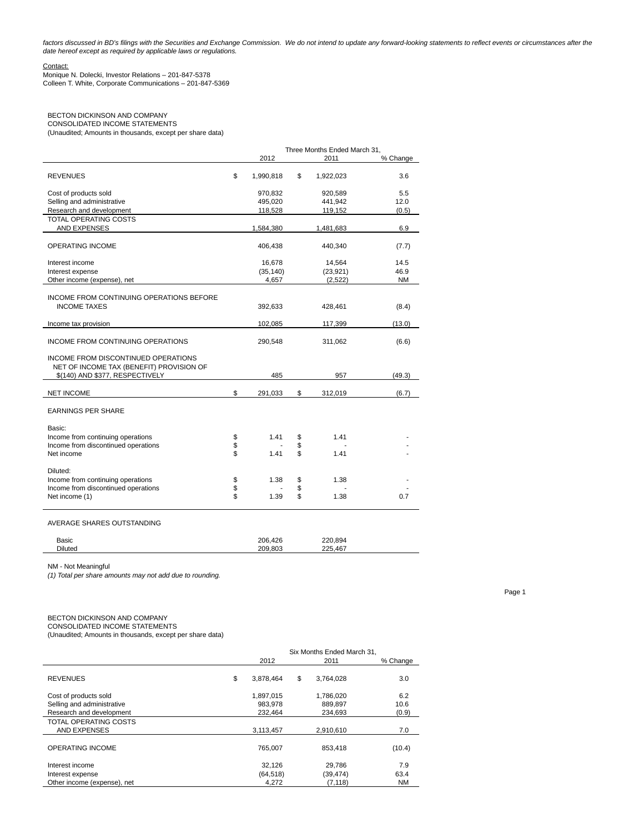factors discussed in BD's filings with the Securities and Exchange Commission. We do not intend to update any forward-looking statements to reflect events or circumstances after the date hereof except as required by applicable laws or regulations.

## Contact:

Monique N. Dolecki, Investor Relations – 201-847-5378 Colleen T. White, Corporate Communications – 201-847-5369

## BECTON DICKINSON AND COMPANY

CONSOLIDATED INCOME STATEMENTS (Unaudited; Amounts in thousands, except per share data)

|                                                                                                                    |                | Three Months Ended March 31. |                |              |           |  |
|--------------------------------------------------------------------------------------------------------------------|----------------|------------------------------|----------------|--------------|-----------|--|
|                                                                                                                    |                | 2012                         |                | 2011         | % Change  |  |
| <b>REVENUES</b>                                                                                                    | \$             | 1,990,818                    | \$             | 1,922,023    | 3.6       |  |
| Cost of products sold                                                                                              |                | 970,832                      |                | 920,589      | 5.5       |  |
| Selling and administrative                                                                                         |                | 495,020                      |                | 441,942      | 12.0      |  |
| Research and development                                                                                           |                | 118,528                      |                | 119,152      | (0.5)     |  |
| <b>TOTAL OPERATING COSTS</b>                                                                                       |                |                              |                |              |           |  |
| <b>AND EXPENSES</b>                                                                                                |                | 1,584,380                    |                | 1,481,683    | 6.9       |  |
| <b>OPERATING INCOME</b>                                                                                            |                | 406,438                      |                | 440,340      | (7.7)     |  |
| Interest income                                                                                                    |                | 16,678                       |                | 14,564       | 14.5      |  |
| Interest expense                                                                                                   |                | (35, 140)                    |                | (23, 921)    | 46.9      |  |
| Other income (expense), net                                                                                        |                | 4,657                        |                | (2,522)      | <b>NM</b> |  |
| INCOME FROM CONTINUING OPERATIONS BEFORE<br><b>INCOME TAXES</b>                                                    |                | 392,633                      |                | 428,461      | (8.4)     |  |
| Income tax provision                                                                                               |                | 102,085                      |                | 117,399      | (13.0)    |  |
| INCOME FROM CONTINUING OPERATIONS                                                                                  |                | 290,548                      |                | 311,062      | (6.6)     |  |
| INCOME FROM DISCONTINUED OPERATIONS<br>NET OF INCOME TAX (BENEFIT) PROVISION OF<br>\$(140) AND \$377, RESPECTIVELY |                | 485                          |                | 957          | (49.3)    |  |
|                                                                                                                    |                |                              |                |              |           |  |
| <b>NET INCOME</b>                                                                                                  | \$             | 291,033                      | \$             | 312,019      | (6.7)     |  |
| <b>EARNINGS PER SHARE</b>                                                                                          |                |                              |                |              |           |  |
| Basic:<br>Income from continuing operations<br>Income from discontinued operations<br>Net income                   | \$<br>\$<br>\$ | 1.41<br>1.41                 | \$<br>\$<br>\$ | 1.41<br>1.41 |           |  |
| Diluted:<br>Income from continuing operations<br>Income from discontinued operations<br>Net income (1)             | \$<br>\$<br>\$ | 1.38<br>1.39                 | \$<br>\$<br>\$ | 1.38<br>1.38 | 0.7       |  |

## AVERAGE SHARES OUTSTANDING

| Basic          | 206.426 | 220.894 |  |
|----------------|---------|---------|--|
| <b>Diluted</b> | 209.803 | 225.467 |  |

NM - Not Meaningful

(1) Total per share amounts may not add due to rounding.

## BECTON DICKINSON AND COMPANY

CONSOLIDATED INCOME STATEMENTS

(Unaudited; Amounts in thousands, except per share data)

|                             |    | Six Months Ended March 31, |                 |           |
|-----------------------------|----|----------------------------|-----------------|-----------|
|                             |    | 2012                       | 2011            | % Change  |
| <b>REVENUES</b>             | \$ | 3,878,464                  | \$<br>3,764,028 | 3.0       |
| Cost of products sold       |    | 1,897,015                  | 1,786,020       | 6.2       |
| Selling and administrative  |    | 983.978                    | 889.897         | 10.6      |
| Research and development    |    | 232.464                    | 234.693         | (0.9)     |
| TOTAL OPERATING COSTS       |    |                            |                 |           |
| <b>AND EXPENSES</b>         |    | 3,113,457                  | 2,910,610       | 7.0       |
| OPERATING INCOME            |    | 765,007                    | 853.418         | (10.4)    |
| Interest income             |    | 32.126                     | 29,786          | 7.9       |
| Interest expense            |    | (64, 518)                  | (39, 474)       | 63.4      |
| Other income (expense), net |    | 4,272                      | (7, 118)        | <b>NM</b> |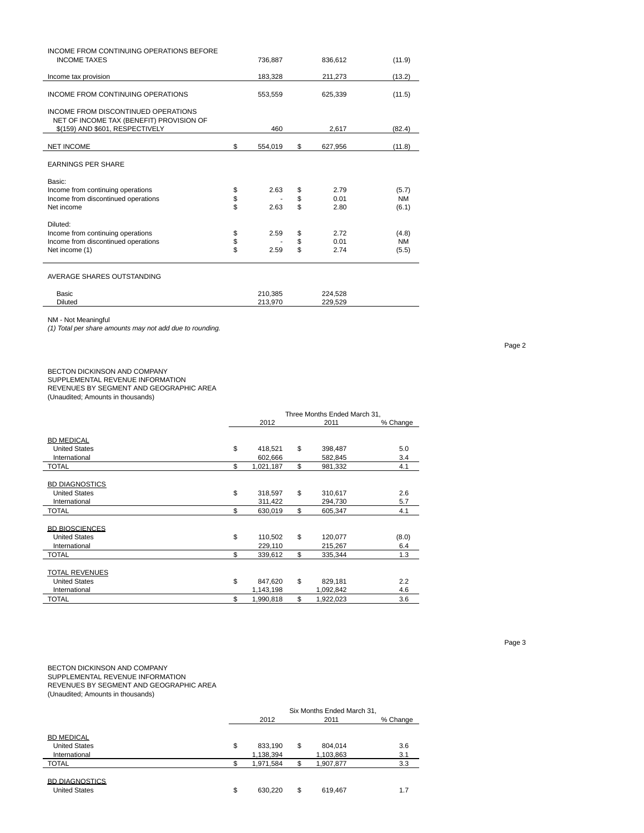| INCOME FROM CONTINUING OPERATIONS BEFORE<br><b>INCOME TAXES</b>                                                    |          | 736,887 | 836,612       | (11.9)    |
|--------------------------------------------------------------------------------------------------------------------|----------|---------|---------------|-----------|
| Income tax provision                                                                                               |          | 183,328 | 211,273       | (13.2)    |
| INCOME FROM CONTINUING OPERATIONS                                                                                  |          | 553,559 | 625,339       | (11.5)    |
| INCOME FROM DISCONTINUED OPERATIONS<br>NET OF INCOME TAX (BENEFIT) PROVISION OF<br>\$(159) AND \$601, RESPECTIVELY |          | 460     | 2,617         | (82.4)    |
|                                                                                                                    |          |         |               |           |
| <b>NET INCOME</b>                                                                                                  | \$       | 554.019 | \$<br>627,956 | (11.8)    |
| <b>EARNINGS PER SHARE</b>                                                                                          |          |         |               |           |
| Basic:                                                                                                             |          |         |               |           |
| Income from continuing operations                                                                                  | \$       | 2.63    | \$<br>2.79    | (5.7)     |
| Income from discontinued operations                                                                                | \$       |         | \$<br>0.01    | <b>NM</b> |
| Net income                                                                                                         | \$       | 2.63    | \$<br>2.80    | (6.1)     |
| Diluted:                                                                                                           |          |         |               |           |
| Income from continuing operations                                                                                  | \$       | 2.59    | \$<br>2.72    | (4.8)     |
| Income from discontinued operations                                                                                | \$<br>\$ |         | \$<br>0.01    | <b>NM</b> |
|                                                                                                                    |          | 2.59    | \$<br>2.74    | (5.5)     |

AVERAGE SHARES OUTSTANDING

| Basic          | 210.385               | 224,528<br>--- |  |
|----------------|-----------------------|----------------|--|
| <b>Diluted</b> | 213.970<br><b>412</b> | .529<br>229    |  |

NM - Not Meaningful

(1) Total per share amounts may not add due to rounding.

## BECTON DICKINSON AND COMPANY

SUPPLEMENTAL REVENUE INFORMATION

REVENUES BY SEGMENT AND GEOGRAPHIC AREA

(Unaudited; Amounts in thousands)

|                       | Three Months Ended March 31, |    |           |          |
|-----------------------|------------------------------|----|-----------|----------|
|                       | 2012                         |    | 2011      | % Change |
|                       |                              |    |           |          |
| <b>BD MEDICAL</b>     |                              |    |           |          |
| <b>United States</b>  | \$<br>418,521                | \$ | 398,487   | 5.0      |
| International         | 602,666                      |    | 582,845   | 3.4      |
| TOTAL                 | \$<br>1,021,187              | \$ | 981,332   | 4.1      |
|                       |                              |    |           |          |
| <b>BD DIAGNOSTICS</b> |                              |    |           |          |
| <b>United States</b>  | \$<br>318,597                | \$ | 310,617   | 2.6      |
| International         | 311,422                      |    | 294,730   | 5.7      |
| <b>TOTAL</b>          | \$<br>630,019                | \$ | 605,347   | 4.1      |
|                       |                              |    |           |          |
| <b>BD BIOSCIENCES</b> |                              |    |           |          |
| <b>United States</b>  | \$<br>110,502                | \$ | 120,077   | (8.0)    |
| International         | 229,110                      |    | 215,267   | 6.4      |
| <b>TOTAL</b>          | \$<br>339,612                | \$ | 335,344   | 1.3      |
|                       |                              |    |           |          |
| <b>TOTAL REVENUES</b> |                              |    |           |          |
| <b>United States</b>  | \$<br>847,620                | \$ | 829,181   | 2.2      |
| International         | 1,143,198                    |    | 1,092,842 | 4.6      |
| TOTAL                 | \$<br>1,990,818              | \$ | 1,922,023 | 3.6      |

BECTON DICKINSON AND COMPANY SUPPLEMENTAL REVENUE INFORMATION REVENUES BY SEGMENT AND GEOGRAPHIC AREA (Unaudited; Amounts in thousands)

|                       | Six Months Ended March 31, |    |           |          |  |
|-----------------------|----------------------------|----|-----------|----------|--|
|                       | 2012                       |    | 2011      | % Change |  |
|                       |                            |    |           |          |  |
| <b>BD MEDICAL</b>     |                            |    |           |          |  |
| <b>United States</b>  | \$<br>833.190              | \$ | 804,014   | 3.6      |  |
| International         | 1,138,394                  |    | 1,103,863 | 3.1      |  |
| <b>TOTAL</b>          | 1,971,584                  |    | 1,907,877 | 3.3      |  |
|                       |                            |    |           |          |  |
| <b>BD DIAGNOSTICS</b> |                            |    |           |          |  |
| <b>United States</b>  | \$<br>630.220              | \$ | 619,467   | 1.7      |  |

Page 2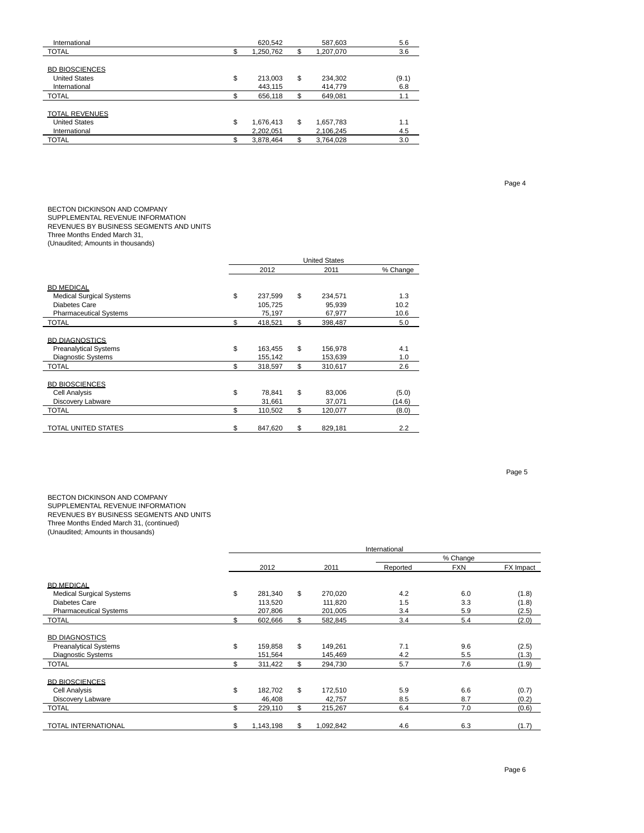| International         | 620.542         |    | 587,603   | 5.6   |
|-----------------------|-----------------|----|-----------|-------|
| <b>TOTAL</b>          | 1,250,762       | \$ | 1,207,070 | 3.6   |
|                       |                 |    |           |       |
| <b>BD BIOSCIENCES</b> |                 |    |           |       |
| <b>United States</b>  | \$<br>213,003   | \$ | 234,302   | (9.1) |
| International         | 443.115         |    | 414.779   | 6.8   |
| <b>TOTAL</b>          | 656.118         | \$ | 649.081   | 1.1   |
|                       |                 |    |           |       |
| <b>TOTAL REVENUES</b> |                 |    |           |       |
| <b>United States</b>  | \$<br>1,676,413 | \$ | 1,657,783 | 1.1   |
| International         | 2,202,051       |    | 2,106,245 | 4.5   |
| <b>TOTAL</b>          | 3,878,464       | S  | 3,764,028 | 3.0   |
|                       |                 |    |           |       |

BECTON DICKINSON AND COMPANY SUPPLEMENTAL REVENUE INFORMATION

# REVENUES BY BUSINESS SEGMENTS AND UNITS

Three Months Ended March 31,

(Unaudited; Amounts in thousands)

|                                 | <b>United States</b> |         |    |         |          |  |
|---------------------------------|----------------------|---------|----|---------|----------|--|
|                                 |                      | 2012    |    | 2011    | % Change |  |
| <b>BD MEDICAL</b>               |                      |         |    |         |          |  |
| <b>Medical Surgical Systems</b> | \$                   | 237,599 | \$ | 234,571 | 1.3      |  |
| Diabetes Care                   |                      | 105,725 |    | 95,939  | 10.2     |  |
| <b>Pharmaceutical Systems</b>   |                      | 75,197  |    | 67,977  | 10.6     |  |
| <b>TOTAL</b>                    | \$                   | 418,521 | \$ | 398,487 | 5.0      |  |
|                                 |                      |         |    |         |          |  |
| <b>BD DIAGNOSTICS</b>           |                      |         |    |         |          |  |
| <b>Preanalytical Systems</b>    | \$                   | 163,455 | \$ | 156,978 | 4.1      |  |
| <b>Diagnostic Systems</b>       |                      | 155,142 |    | 153,639 | 1.0      |  |
| TOTAL                           | \$                   | 318,597 | \$ | 310,617 | 2.6      |  |
|                                 |                      |         |    |         |          |  |
| <b>BD BIOSCIENCES</b>           |                      |         |    |         |          |  |
| <b>Cell Analysis</b>            | \$                   | 78,841  | \$ | 83,006  | (5.0)    |  |
| Discovery Labware               |                      | 31,661  |    | 37,071  | (14.6)   |  |
| <b>TOTAL</b>                    | \$                   | 110,502 | \$ | 120,077 | (8.0)    |  |
|                                 |                      |         |    |         |          |  |
| TOTAL UNITED STATES             | \$                   | 847,620 | \$ | 829,181 | 2.2      |  |

Page 5

### BECTON DICKINSON AND COMPANY SUPPLEMENTAL REVENUE INFORMATION REVENUES BY BUSINESS SEGMENTS AND UNITS Three Months Ended March 31, (continued) (Unaudited; Amounts in thousands)

|                                 |                 |                 | International |            |           |
|---------------------------------|-----------------|-----------------|---------------|------------|-----------|
|                                 |                 |                 |               | % Change   |           |
|                                 | 2012            | 2011            | Reported      | <b>FXN</b> | FX Impact |
|                                 |                 |                 |               |            |           |
| <b>BD MEDICAL</b>               |                 |                 |               |            |           |
| <b>Medical Surgical Systems</b> | \$<br>281,340   | \$<br>270,020   | 4.2           | 6.0        | (1.8)     |
| Diabetes Care                   | 113,520         | 111,820         | 1.5           | 3.3        | (1.8)     |
| <b>Pharmaceutical Systems</b>   | 207,806         | 201,005         | 3.4           | 5.9        | (2.5)     |
| <b>TOTAL</b>                    | \$<br>602,666   | \$<br>582,845   | 3.4           | 5.4        | (2.0)     |
| <b>BD DIAGNOSTICS</b>           |                 |                 |               |            |           |
| <b>Preanalytical Systems</b>    | \$<br>159.858   | \$<br>149,261   | 7.1           | 9.6        | (2.5)     |
| <b>Diagnostic Systems</b>       | 151,564         | 145,469         | 4.2           | 5.5        | (1.3)     |
| <b>TOTAL</b>                    | \$<br>311,422   | \$<br>294,730   | 5.7           | 7.6        | (1.9)     |
| <b>BD BIOSCIENCES</b>           |                 |                 |               |            |           |
| <b>Cell Analysis</b>            | \$<br>182.702   | \$<br>172,510   | 5.9           | 6.6        | (0.7)     |
| Discovery Labware               | 46,408          | 42,757          | 8.5           | 8.7        | (0.2)     |
| <b>TOTAL</b>                    | \$<br>229,110   | \$<br>215,267   | 6.4           | 7.0        | (0.6)     |
| <b>TOTAL INTERNATIONAL</b>      | \$<br>1,143,198 | \$<br>1,092,842 | 4.6           | 6.3        | (1.7)     |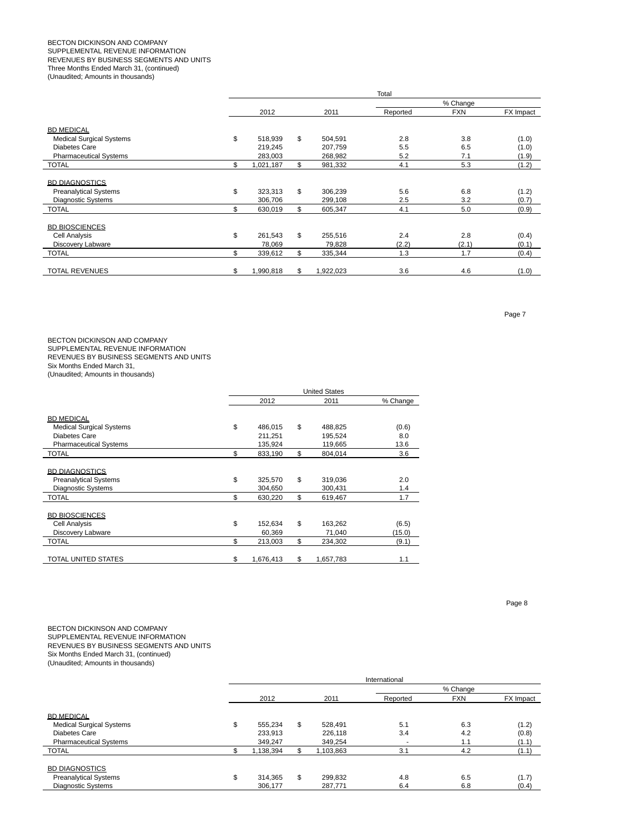### BECTON DICKINSON AND COMPANY SUPPLEMENTAL REVENUE INFORMATION REVENUES BY BUSINESS SEGMENTS AND UNITS Three Months Ended March 31, (continued) (Unaudited; Amounts in thousands)

|                                 |                 |                 | Total    |            |           |
|---------------------------------|-----------------|-----------------|----------|------------|-----------|
|                                 |                 |                 |          | % Change   |           |
|                                 | 2012            | 2011            | Reported | <b>FXN</b> | FX Impact |
| <b>BD MEDICAL</b>               |                 |                 |          |            |           |
| <b>Medical Surgical Systems</b> | \$<br>518.939   | \$<br>504,591   | 2.8      | 3.8        | (1.0)     |
| <b>Diabetes Care</b>            | 219.245         | 207,759         | 5.5      | 6.5        | (1.0)     |
| <b>Pharmaceutical Systems</b>   | 283,003         | 268,982         | 5.2      | 7.1        | (1.9)     |
| <b>TOTAL</b>                    | \$<br>1,021,187 | \$<br>981,332   | 4.1      | 5.3        | (1.2)     |
|                                 |                 |                 |          |            |           |
| <b>BD DIAGNOSTICS</b>           |                 |                 |          |            |           |
| <b>Preanalytical Systems</b>    | \$<br>323,313   | \$<br>306,239   | 5.6      | 6.8        | (1.2)     |
| <b>Diagnostic Systems</b>       | 306,706         | 299,108         | 2.5      | 3.2        | (0.7)     |
| <b>TOTAL</b>                    | \$<br>630,019   | \$<br>605,347   | 4.1      | 5.0        | (0.9)     |
| <b>BD BIOSCIENCES</b>           |                 |                 |          |            |           |
| <b>Cell Analysis</b>            | \$<br>261.543   | \$<br>255,516   | 2.4      | 2.8        | (0.4)     |
| Discovery Labware               | 78,069          | 79,828          | (2.2)    | (2.1)      | (0.1)     |
| <b>TOTAL</b>                    | \$              | \$<br>335,344   | 1.3      | 1.7        |           |
|                                 | 339,612         |                 |          |            | (0.4)     |
| <b>TOTAL REVENUES</b>           | \$<br>1,990,818 | \$<br>1,922,023 | 3.6      | 4.6        | (1.0)     |

BECTON DICKINSON AND COMPANY SUPPLEMENTAL REVENUE INFORMATION REVENUES BY BUSINESS SEGMENTS AND UNITS Six Months Ended March 31,

(Unaudited; Amounts in thousands)

|                                 | <b>United States</b> |           |    |           |          |
|---------------------------------|----------------------|-----------|----|-----------|----------|
|                                 |                      | 2012      |    | 2011      | % Change |
| <b>BD MEDICAL</b>               |                      |           |    |           |          |
| <b>Medical Surgical Systems</b> | \$                   | 486,015   | \$ | 488,825   | (0.6)    |
| Diabetes Care                   |                      | 211.251   |    | 195,524   | 8.0      |
| <b>Pharmaceutical Systems</b>   |                      | 135,924   |    | 119,665   | 13.6     |
| <b>TOTAL</b>                    | \$                   | 833,190   | \$ | 804,014   | 3.6      |
|                                 |                      |           |    |           |          |
| <b>BD DIAGNOSTICS</b>           |                      |           |    |           |          |
| <b>Preanalytical Systems</b>    | \$                   | 325,570   | \$ | 319,036   | 2.0      |
| <b>Diagnostic Systems</b>       |                      | 304,650   |    | 300,431   | 1.4      |
| <b>TOTAL</b>                    | \$                   | 630,220   | \$ | 619,467   | 1.7      |
|                                 |                      |           |    |           |          |
| <b>BD BIOSCIENCES</b>           |                      |           |    |           |          |
| Cell Analysis                   | \$                   | 152.634   | \$ | 163,262   | (6.5)    |
| Discovery Labware               |                      | 60,369    |    | 71,040    | (15.0)   |
| <b>TOTAL</b>                    | \$                   | 213,003   | \$ | 234,302   | (9.1)    |
|                                 |                      |           |    |           |          |
| <b>TOTAL UNITED STATES</b>      | \$                   | 1,676,413 | \$ | 1,657,783 | 1.1      |

Page 8

### BECTON DICKINSON AND COMPANY SUPPLEMENTAL REVENUE INFORMATION REVENUES BY BUSINESS SEGMENTS AND UNITS Six Months Ended March 31, (continued) (Unaudited; Amounts in thousands)

|                                 | International     |           |    |           |          |            |           |  |  |  |  |
|---------------------------------|-------------------|-----------|----|-----------|----------|------------|-----------|--|--|--|--|
|                                 |                   |           |    |           | % Change |            |           |  |  |  |  |
|                                 |                   | 2012      |    | 2011      | Reported | <b>FXN</b> | FX Impact |  |  |  |  |
| <b>BD MEDICAL</b>               |                   |           |    |           |          |            |           |  |  |  |  |
| <b>Medical Surgical Systems</b> | $\triangle$<br>J. | 555.234   | \$ | 528,491   | 5.1      | 6.3        | (1.2)     |  |  |  |  |
| <b>Diabetes Care</b>            |                   | 233,913   |    | 226,118   | 3.4      | 4.2        | (0.8)     |  |  |  |  |
| <b>Pharmaceutical Systems</b>   |                   | 349,247   |    | 349,254   | -        | 1.1        | (1.1)     |  |  |  |  |
| <b>TOTAL</b>                    |                   | 1,138,394 |    | 1,103,863 | 3.1      | 4.2        | (1.1)     |  |  |  |  |
| <b>BD DIAGNOSTICS</b>           |                   |           |    |           |          |            |           |  |  |  |  |
| <b>Preanalytical Systems</b>    | \$                | 314.365   | \$ | 299,832   | 4.8      | 6.5        | (1.7)     |  |  |  |  |
| <b>Diagnostic Systems</b>       |                   | 306,177   |    | 287,771   | 6.4      | 6.8        | (0.4)     |  |  |  |  |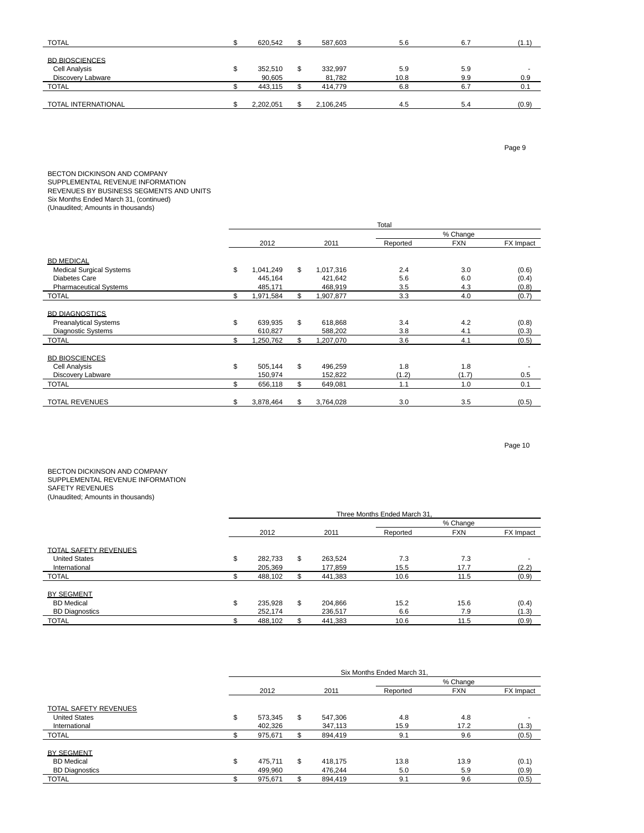| <b>TOTAL</b>          | 620.542   | 587.603   | 5.6  | 6.7 | (1.1) |
|-----------------------|-----------|-----------|------|-----|-------|
|                       |           |           |      |     |       |
| <b>BD BIOSCIENCES</b> |           |           |      |     |       |
| Cell Analysis         | 352,510   | 332,997   | 5.9  | 5.9 |       |
| Discovery Labware     | 90,605    | 81,782    | 10.8 | 9.9 | 0.9   |
| <b>TOTAL</b>          | 443.115   | 414,779   | 6.8  | 6.7 | 0.1   |
|                       |           |           |      |     |       |
| TOTAL INTERNATIONAL   | 2,202,051 | 2,106,245 | 4.5  | 5.4 | (0.9) |

Page 9

BECTON DICKINSON AND COMPANY SUPPLEMENTAL REVENUE INFORMATION REVENUES BY BUSINESS SEGMENTS AND UNITS Six Months Ended March 31, (continued)

(Unaudited; Amounts in thousands)

|                                 |     | Total     |    |           |          |            |           |  |  |  |  |  |
|---------------------------------|-----|-----------|----|-----------|----------|------------|-----------|--|--|--|--|--|
|                                 |     |           |    |           |          |            |           |  |  |  |  |  |
|                                 |     | 2012      |    | 2011      | Reported | <b>FXN</b> | FX Impact |  |  |  |  |  |
|                                 |     |           |    |           |          |            |           |  |  |  |  |  |
| <b>BD MEDICAL</b>               |     |           |    |           |          |            |           |  |  |  |  |  |
| <b>Medical Surgical Systems</b> | \$  | 1,041,249 | \$ | 1,017,316 | 2.4      | 3.0        | (0.6)     |  |  |  |  |  |
| <b>Diabetes Care</b>            |     | 445,164   |    | 421,642   | 5.6      | 6.0        | (0.4)     |  |  |  |  |  |
| <b>Pharmaceutical Systems</b>   |     | 485,171   |    | 468,919   | 3.5      | 4.3        | (0.8)     |  |  |  |  |  |
| <b>TOTAL</b>                    | \$  | 1,971,584 | \$ | 1,907,877 | 3.3      | 4.0        | (0.7)     |  |  |  |  |  |
| <b>BD DIAGNOSTICS</b>           |     |           |    |           |          |            |           |  |  |  |  |  |
| <b>Preanalytical Systems</b>    | \$  | 639.935   | \$ | 618,868   | 3.4      | 4.2        | (0.8)     |  |  |  |  |  |
| <b>Diagnostic Systems</b>       |     | 610,827   |    | 588,202   | 3.8      | 4.1        | (0.3)     |  |  |  |  |  |
| <b>TOTAL</b>                    | \$  | 1,250,762 | \$ | 1,207,070 | 3.6      | 4.1        | (0.5)     |  |  |  |  |  |
|                                 |     |           |    |           |          |            |           |  |  |  |  |  |
| <b>BD BIOSCIENCES</b>           |     |           |    |           |          |            |           |  |  |  |  |  |
| Cell Analysis                   | \$  | 505.144   | \$ | 496,259   | 1.8      | 1.8        |           |  |  |  |  |  |
| Discovery Labware               |     | 150,974   |    | 152,822   | (1.2)    | (1.7)      | 0.5       |  |  |  |  |  |
| <b>TOTAL</b>                    | \$. | 656,118   | \$ | 649,081   | 1.1      | 1.0        | 0.1       |  |  |  |  |  |
| <b>TOTAL REVENUES</b>           | \$  | 3,878,464 | \$ | 3,764,028 | 3.0      | 3.5        | (0.5)     |  |  |  |  |  |

Page 10

BECTON DICKINSON AND COMPANY SUPPLEMENTAL REVENUE INFORMATION SAFETY REVENUES (Unaudited; Amounts in thousands)

|                              | Three Months Ended March 31 |    |         |          |            |           |  |  |  |  |  |  |
|------------------------------|-----------------------------|----|---------|----------|------------|-----------|--|--|--|--|--|--|
|                              |                             |    |         | % Change |            |           |  |  |  |  |  |  |
|                              | 2012                        |    | 2011    | Reported | <b>FXN</b> | FX Impact |  |  |  |  |  |  |
| <b>TOTAL SAFETY REVENUES</b> |                             |    |         |          |            |           |  |  |  |  |  |  |
| <b>United States</b>         | \$<br>282,733               | \$ | 263.524 | 7.3      | 7.3        |           |  |  |  |  |  |  |
| International                | 205.369                     |    | 177.859 | 15.5     | 17.7       | (2.2)     |  |  |  |  |  |  |
| <b>TOTAL</b>                 | 488,102                     |    | 441,383 | 10.6     | 11.5       | (0.9)     |  |  |  |  |  |  |
| BY SEGMENT                   |                             |    |         |          |            |           |  |  |  |  |  |  |
| <b>BD</b> Medical            | \$<br>235,928               | \$ | 204.866 | 15.2     | 15.6       | (0.4)     |  |  |  |  |  |  |
| <b>BD Diagnostics</b>        | 252.174                     |    | 236.517 | 6.6      | 7.9        | (1.3)     |  |  |  |  |  |  |
| <b>TOTAL</b>                 | 488,102                     |    | 441,383 | 10.6     | 11.5       | (0.9)     |  |  |  |  |  |  |

|                              | Six Months Ended March 31. |    |         |          |            |           |  |  |  |  |  |
|------------------------------|----------------------------|----|---------|----------|------------|-----------|--|--|--|--|--|
|                              |                            |    |         | % Change |            |           |  |  |  |  |  |
|                              | 2012                       |    | 2011    | Reported | <b>FXN</b> | FX Impact |  |  |  |  |  |
| <b>TOTAL SAFETY REVENUES</b> |                            |    |         |          |            |           |  |  |  |  |  |
| <b>United States</b>         | \$<br>573.345              | \$ | 547,306 | 4.8      | 4.8        |           |  |  |  |  |  |
| International                | 402.326                    |    | 347,113 | 15.9     | 17.2       | (1.3)     |  |  |  |  |  |
| <b>TOTAL</b>                 | 975,671                    |    | 894,419 | 9.1      | 9.6        | (0.5)     |  |  |  |  |  |
| BY SEGMENT                   |                            |    |         |          |            |           |  |  |  |  |  |
| <b>BD</b> Medical            | \$<br>475.711              | \$ | 418.175 | 13.8     | 13.9       | (0.1)     |  |  |  |  |  |
| <b>BD Diagnostics</b>        | 499.960                    |    | 476.244 | 5.0      | 5.9        | (0.9)     |  |  |  |  |  |
| <b>TOTAL</b>                 | 975,671                    | \$ | 894,419 | 9.1      | 9.6        | (0.5)     |  |  |  |  |  |